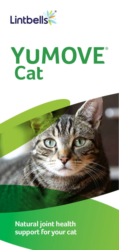

# YUMOVE<sup>®</sup><br>Cat



**Natural joint health support for your cat**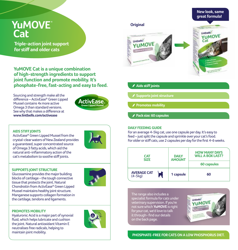# **YuMOVE Cat**

**Triple-action joint support for stiff and older cats**

**YuMOVE Cat is a unique combination of high-strength ingredients to support joint function and promote mobility. It's phosphate-free, fast-acting and easy to feed.**

Sourcing and strength make all the difference – ActivEase® Green Lipped Mussel contains 4x more active Omega 3 than standard versions. See why that makes a difference at **www.lintbells.com/activease**



# **AIDS STIFF JOINTS**

ActivEase® Green Lipped Mussel from the crystal-clear waters of New Zealand provides a guaranteed, super concentrated source of Omega 3 fatty acids, which aid the natural anti-inflammatory action of the cat's metabolism to soothe stiff joints.

# **SUPPORTS JOINT STRUCTURE**

Glucosamine provides the major building blocks of cartilage – the tough connective tissue that protects the joint. Natural Chondroitin from ActivEase® Green Lipped Mussel maintains healthy joint structure. Manganese supports collagen formation in the cartilage, tendons and ligaments.



# **PROMOTES MOBILITY**

Hyaluronic Acid is a major part of synovial fluid, which helps lubricate and cushion the joint. Natural antioxidant Vitamin E neutralises free radicals, helping to maintain joint mobility.



# **great formula!Original** inthells. YUMOVE Lintbells Cal YUMOVE **Aids stiff joints Supports joint structure**

- **Promotes mobility**
- **Pack size: 60 capsules**

# **DAILY FEEDING GUIDE**

For an average 4-5kg cat, use one capsule per day. It's easy to feed – just split the capsule and sprinkle over your cat's food. For older or stiff cats, use 2 capsules per day for the first 4-6 weeks.

| <b>CAT</b><br><b>SIZE</b>                   | <b>DAILY</b><br><b>AMOUNT</b> | <b>HOW MANY DAYS</b><br><b>WILL A BOX LAST?</b> |
|---------------------------------------------|-------------------------------|-------------------------------------------------|
|                                             |                               | 60 capsules                                     |
| <b>AVERAGE CAT</b><br><b>R</b><br>$(4-5kq)$ | 1 capsule                     | 60                                              |

The range also includes a specialist formula for cats under veterinary supervision. If you're not sure which **YuMOVE** is right for your cat, we'd love to talk it through- find our details on the back page.



**New look, same** 

**PHOSPHATE-FREE FOR CATS ON A LOW PHOSPHORUS DIET.**